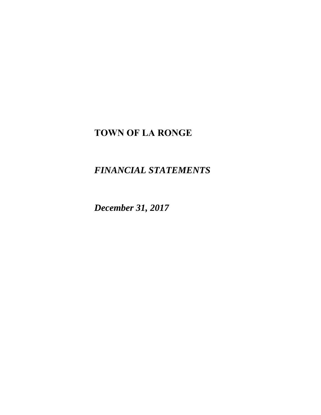# **TOWN OF LA RONGE**

*FINANCIAL STATEMENTS* 

*December 31, 2017*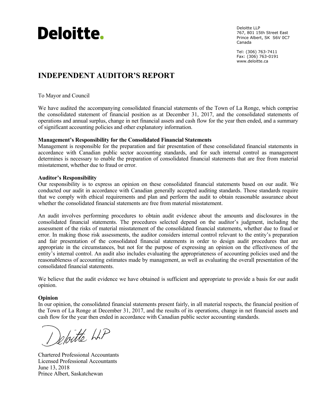

Deloitte LLP 767, 801 15th Street East Prince Albert, SK S6V 0C7 Canada

Tel: (306) 763-7411 Fax: (306) 763-0191 www.deloitte.ca

# **INDEPENDENT AUDITOR'S REPORT**

To Mayor and Council

We have audited the accompanying consolidated financial statements of the Town of La Ronge, which comprise the consolidated statement of financial position as at December 31, 2017, and the consolidated statements of operations and annual surplus, change in net financial assets and cash flow for the year then ended, and a summary of significant accounting policies and other explanatory information.

### **Management's Responsibility for the Consolidated Financial Statements**

Management is responsible for the preparation and fair presentation of these consolidated financial statements in accordance with Canadian public sector accounting standards, and for such internal control as management determines is necessary to enable the preparation of consolidated financial statements that are free from material misstatement, whether due to fraud or error.

#### **Auditor's Responsibility**

Our responsibility is to express an opinion on these consolidated financial statements based on our audit. We conducted our audit in accordance with Canadian generally accepted auditing standards. Those standards require that we comply with ethical requirements and plan and perform the audit to obtain reasonable assurance about whether the consolidated financial statements are free from material misstatement.

An audit involves performing procedures to obtain audit evidence about the amounts and disclosures in the consolidated financial statements. The procedures selected depend on the auditor's judgment, including the assessment of the risks of material misstatement of the consolidated financial statements, whether due to fraud or error. In making those risk assessments, the auditor considers internal control relevant to the entity's preparation and fair presentation of the consolidated financial statements in order to design audit procedures that are appropriate in the circumstances, but not for the purpose of expressing an opinion on the effectiveness of the entity's internal control. An audit also includes evaluating the appropriateness of accounting policies used and the reasonableness of accounting estimates made by management, as well as evaluating the overall presentation of the consolidated financial statements.

We believe that the audit evidence we have obtained is sufficient and appropriate to provide a basis for our audit opinion.

#### **Opinion**

In our opinion, the consolidated financial statements present fairly, in all material respects, the financial position of the Town of La Ronge at December 31, 2017, and the results of its operations, change in net financial assets and cash flow for the year then ended in accordance with Canadian public sector accounting standards.

Deloitte LLP

Chartered Professional Accountants Licensed Professional Accountants June 13, 2018 Prince Albert, Saskatchewan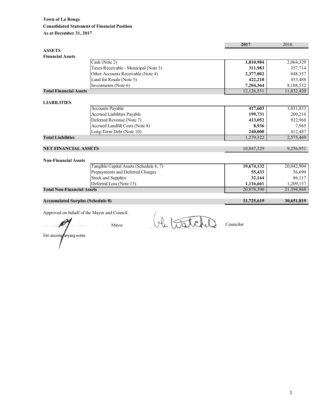|                                         |                                         | 2017       | 2016       |
|-----------------------------------------|-----------------------------------------|------------|------------|
| <b>ASSETS</b>                           |                                         |            |            |
| <b>Financial Assets</b>                 |                                         |            |            |
|                                         | Cash (Note 2)                           | 1,810,984  | 2,064,329  |
|                                         | Taxes Receivable - Municipal (Note 3)   | 311,983    | 357,714    |
|                                         | Other Accounts Receivable (Note 4)      | 2,377,002  | 848,357    |
|                                         | Land for Resale (Note 5)                | 422,218    | 453,488    |
|                                         | Investments (Note 6)                    | 7,204,364  | 8,108,532  |
| <b>Total Financial Assets</b>           |                                         | 12,126,551 | 11,832,420 |
|                                         |                                         |            |            |
| <b>LIABILITIES</b>                      |                                         |            |            |
|                                         | <b>Accounts Payable</b>                 | 417,603    | 1,031,833  |
|                                         | Accrued Liabilities Payable             | 199,731    | 200,216    |
|                                         | Deferred Revenue (Note 7)               | 413,052    | 922,968    |
|                                         | Accrued Landfill Costs (Note 8)         | 8,936      | 7,965      |
|                                         | Long-Term Debt (Note 10)                | 240,000    | 412,487    |
| <b>Total Liabilities</b>                |                                         | 1,279,322  | 2,575,469  |
|                                         |                                         |            |            |
| <b>NET FINANCIAL ASSETS</b>             |                                         | 10,847,229 | 9,256,951  |
|                                         |                                         |            |            |
| <b>Non-Financial Assets</b>             |                                         |            |            |
|                                         | Tangible Capital Assets (Schedule 6, 7) | 19,674,132 | 20,042,904 |
|                                         | Prepayments and Deferred Charges        | 55,433     | 56,690     |
|                                         | <b>Stock and Supplies</b>               | 32,164     | 86,117     |
|                                         | Deferred Loss (Note 13)                 | 1,116,661  | 1,209,157  |
| <b>Total Non-Financial Assets</b>       |                                         | 20,878,390 | 21,394,868 |
|                                         |                                         |            |            |
| <b>Accumulated Surplus (Schedule 8)</b> |                                         | 31,725,619 | 30,651,819 |
|                                         |                                         |            |            |

Approved on behalf of the Mayor and Council.

Approved on behalt of the wiayor and Council.<br>
Mayor<br>
See accompanying notes.

Councilor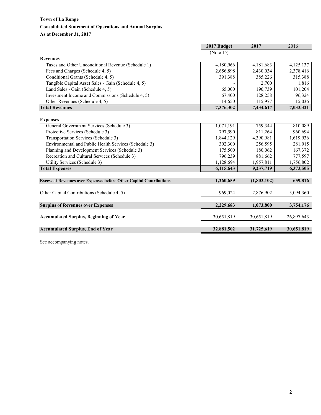# **Town of La Ronge Consolidated Statement of Operations and Annual Surplus As at December 31, 2017**

|                                                                            | 2017 Budget | 2017        | 2016       |
|----------------------------------------------------------------------------|-------------|-------------|------------|
|                                                                            | (Note 15)   |             |            |
| <b>Revenues</b>                                                            |             |             |            |
| Taxes and Other Unconditional Revenue (Schedule 1)                         | 4,180,966   | 4,181,683   | 4,125,137  |
| Fees and Charges (Schedule 4, 5)                                           | 2,656,898   | 2,430,034   | 2,378,416  |
| Conditional Grants (Schedule 4, 5)                                         | 391,388     | 385,226     | 315,388    |
| Tangible Capital Asset Sales - Gain (Schedule 4, 5)                        |             | 2,700       | 1,816      |
| Land Sales - Gain (Schedule 4, 5)                                          | 65,000      | 190,739     | 101,204    |
| Investment Income and Commissions (Schedule 4, 5)                          | 67,400      | 128,258     | 96,324     |
| Other Revenues (Schedule 4, 5)                                             | 14,650      | 115,977     | 15,036     |
| <b>Total Revenues</b>                                                      | 7,376,302   | 7,434,617   | 7,033,321  |
|                                                                            |             |             |            |
| <b>Expenses</b>                                                            |             |             |            |
| General Government Services (Schedule 3)                                   | 1,071,191   | 759,344     | 810,089    |
| Protective Services (Schedule 3)                                           | 797,590     | 811,264     | 960,694    |
| Transportation Services (Schedule 3)                                       | 1,844,129   | 4,390,981   | 1,619,936  |
| Environmental and Public Health Services (Schedule 3)                      | 302,300     | 256,595     | 281,015    |
| Planning and Development Services (Schedule 3)                             | 175,500     | 180,062     | 167,372    |
| Recreation and Cultural Services (Schedule 3)                              | 796,239     | 881,662     | 777,597    |
| Utility Services (Schedule 3)                                              | 1,128,694   | 1,957,811   | 1,756,802  |
| <b>Total Expenses</b>                                                      | 6,115,643   | 9,237,719   | 6,373,505  |
|                                                                            |             |             |            |
| <b>Excess of Revenues over Expenses before Other Capital Contributions</b> | 1,260,659   | (1,803,102) | 659,816    |
|                                                                            |             |             |            |
| Other Capital Contributions (Schedule 4, 5)                                | 969,024     | 2,876,902   | 3,094,360  |
| <b>Surplus of Revenues over Expenses</b>                                   | 2,229,683   | 1,073,800   | 3,754,176  |
| <b>Accumulated Surplus, Beginning of Year</b>                              | 30,651,819  | 30,651,819  | 26,897,643 |
| <b>Accumulated Surplus, End of Year</b>                                    | 32,881,502  | 31,725,619  | 30,651,819 |
|                                                                            |             |             |            |

See accompanying notes.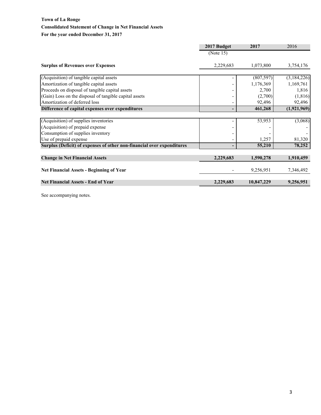# **Town of La Ronge Consolidated Statement of Change in Net Financial Assets For the year ended December 31, 2017**

|                                                                        | 2017 Budget | 2017       | 2016        |
|------------------------------------------------------------------------|-------------|------------|-------------|
|                                                                        | (Note 15)   |            |             |
| <b>Surplus of Revenues over Expenses</b>                               | 2,229,683   | 1,073,800  | 3,754,176   |
| (Acquisition) of tangible capital assets                               |             | (807, 597) | (3,184,226) |
| Amortization of tangible capital assets                                |             | 1,176,369  | 1,169,761   |
| Proceeds on disposal of tangible capital assets                        |             | 2,700      | 1,816       |
| (Gain) Loss on the disposal of tangible capital assets                 |             | (2,700)    | (1, 816)    |
| Amortization of deferred loss                                          |             | 92,496     | 92,496      |
| Difference of capital expenses over expenditures                       |             | 461,268    | (1,921,969) |
|                                                                        |             |            |             |
| (Acquisition) of supplies inventories                                  |             | 53,953     | (3,068)     |
| (Acquisition) of prepaid expense                                       |             |            |             |
| Consumption of supplies inventory                                      |             |            |             |
| Use of prepaid expense                                                 |             | 1,257      | 81,320      |
| Surplus (Deficit) of expenses of other non-financial over expenditures |             | 55,210     | 78,252      |
|                                                                        |             |            |             |
| <b>Change in Net Financial Assets</b>                                  | 2,229,683   | 1,590,278  | 1,910,459   |
|                                                                        |             |            |             |
| <b>Net Financial Assets - Beginning of Year</b>                        |             | 9,256,951  | 7,346,492   |
| <b>Net Financial Assets - End of Year</b>                              | 2,229,683   | 10,847,229 | 9,256,951   |

See accompanying notes.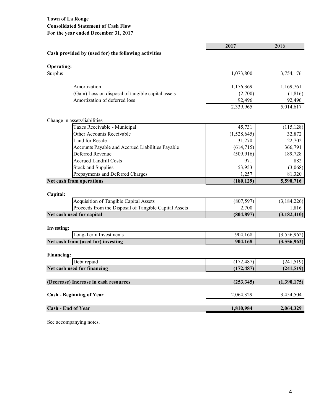# **Town of La Ronge Consolidated Statement of Cash Flow For the year ended December 31, 2017**

|                                                           | 2017        | 2016          |
|-----------------------------------------------------------|-------------|---------------|
| Cash provided by (used for) the following activities      |             |               |
| <b>Operating:</b>                                         |             |               |
| Surplus                                                   | 1,073,800   | 3,754,176     |
| Amortization                                              | 1,176,369   | 1,169,761     |
| (Gain) Loss on disposal of tangible capital assets        | (2,700)     | (1, 816)      |
| Amortization of deferred loss                             | 92,496      | 92,496        |
|                                                           | 2,339,965   | 5,014,617     |
| Change in assets/liabilities                              |             |               |
| Taxes Receivable - Municipal                              | 45,731      | (115, 128)    |
| Other Accounts Receivable                                 | (1,528,645) | 32,872        |
| Land for Resale                                           | 31,270      | 22,702        |
| Accounts Payable and Accrued Liabilities Payable          | (614, 715)  | 366,791       |
| Deferred Revenue                                          | (509, 916)  | 189,728       |
| <b>Accrued Landfill Costs</b>                             | 971         | 882           |
| <b>Stock and Supplies</b>                                 | 53,953      | (3,068)       |
| Prepayments and Deferred Charges                          | 1,257       | 81,320        |
| Net cash from operations                                  | (180, 129)  | 5,590,716     |
|                                                           |             |               |
| Capital:<br><b>Acquisition of Tangible Capital Assets</b> | (807, 597)  | (3,184,226)   |
| Proceeds from the Disposal of Tangible Capital Assets     | 2,700       | 1,816         |
| Net cash used for capital                                 | (804, 897)  | (3, 182, 410) |
|                                                           |             |               |
| <b>Investing:</b>                                         |             |               |
| Long-Term Investments                                     | 904,168     | (3,556,962)   |
| Net cash from (used for) investing                        | 904,168     | (3,556,962)   |
| <b>Financing:</b>                                         |             |               |
| Debt repaid                                               | (172, 487)  | (241,519)     |
| Net cash used for financing                               | (172, 487)  | (241,519)     |
| (Decrease) Increase in cash resources                     | (253, 345)  | (1,390,175)   |
| <b>Cash - Beginning of Year</b>                           | 2,064,329   | 3,454,504     |
| <b>Cash - End of Year</b>                                 | 1,810,984   | 2,064,329     |

See accompanying notes.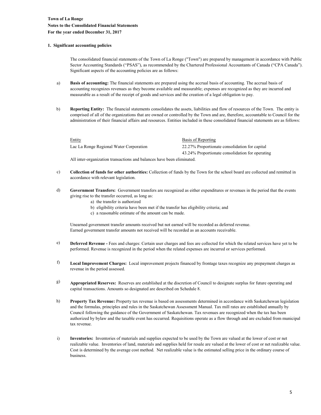#### **1. Significant accounting policies**

The consolidated financial statements of the Town of La Ronge ("Town") are prepared by management in accordance with Public Sector Accounting Standards ("PSAS"), as recommended by the Chartered Professional Accountants of Canada ("CPA Canada"). Significant aspects of the accounting policies are as follows:

- a) **Basis of accounting:** The financial statements are prepared using the accrual basis of accounting. The accrual basis of accounting recognizes revenues as they become available and measurable; expenses are recognized as they are incurred and measurable as a result of the receipt of goods and services and the creation of a legal obligation to pay.
- b) **Reporting Entity:** The financial statements consolidates the assets, liabilities and flow of resources of the Town. The entity is comprised of all of the organizations that are owned or controlled by the Town and are, therefore, accountable to Council for the administration of their financial affairs and resources. Entities included in these consolidated financial statements are as follows:

| Entity                                  | Basis of Reporting                               |
|-----------------------------------------|--------------------------------------------------|
| Lac La Ronge Regional Water Corporation | 22.27% Proportionate consolidation for capital   |
|                                         | 43.24% Proportionate consolidation for operating |

All inter-organization transactions and balances have been eliminated.

- c) **Collection of funds for other authorities:** Collection of funds by the Town for the school board are collected and remitted in accordance with relevant legislation.
- d) **Government Transfers:** Government transfers are recognized as either expenditures or revenues in the period that the events giving rise to the transfer occurred, as long as:
	- a) the transfer is authorized
	- b) eligibility criteria have been met if the transfer has eligibility criteria; and
	- c) a reasonable estimate of the amount can be made.

Unearned government transfer amounts received but not earned will be recorded as deferred revenue. Earned government transfer amounts not received will be recorded as an accounts receivable.

- e) **Deferred Revenue -** Fees and charges: Certain user charges and fees are collected for which the related services have yet to be performed. Revenue is recognized in the period when the related expenses are incurred or services performed.
- f) **Local Improvement Charges:** Local improvement projects financed by frontage taxes recognize any prepayment charges as revenue in the period assessed.
- g) **Appropriated Reserves:** Reserves are established at the discretion of Council to designate surplus for future operating and capital transactions. Amounts so designated are described on Schedule 8.
- h) **Property Tax Revenue:** Property tax revenue is based on assessments determined in accordance with Saskatchewan legislation and the formulas, principles and rules in the Saskatchewan Assessment Manual. Tax mill rates are established annually by Council following the guidance of the Government of Saskatchewan. Tax revenues are recognized when the tax has been authorized by bylaw and the taxable event has occurred. Requisitions operate as a flow through and are excluded from municipal tax revenue.
- i) **Inventories:** Inventories of materials and supplies expected to be used by the Town are valued at the lower of cost or net realizable value. Inventories of land, materials and supplies held for resale are valued at the lower of cost or net realizable value. Cost is determined by the average cost method. Net realizable value is the estimated selling price in the ordinary course of business.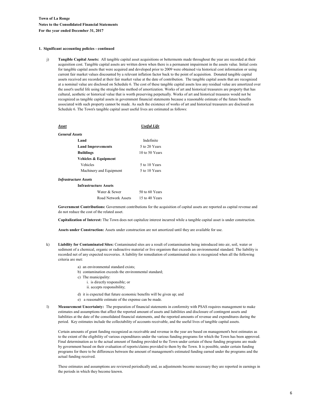#### **1. Significant accounting policies - continued**

j) **Tangible Capital Assets:** All tangible capital asset acquisitions or betterments made throughout the year are recorded at their acquisition cost. Tangible capital assets are written down when there is a permanent impairment in the assets value. Initial costs for tangible capital assets that were acquired and developed prior to 2009 were obtained via historical cost information or using current fair market values discounted by a relevant inflation factor back to the point of acquisition. Donated tangible capital assets received are recorded at their fair market value at the date of contribution. The tangible capital assets that are recognized at a nominal value are disclosed on Schedule 6. The cost of these tangible capital assets less any residual value are amortized over the asset's useful life using the straight-line method of amortization. Works of art and historical treasurers are property that has cultural, aesthetic or historical value that is worth preserving perpetually. Works of art and historical treasures would not be recognized as tangible capital assets in government financial statements because a reasonable estimate of the future benefits associated with such property cannot be made. As such the existence of works of art and historical treasurers are disclosed on Schedule 6. The Town's tangible capital asset useful lives are estimated as follows:

| Asset                 |                              | <b>Useful Life</b> |
|-----------------------|------------------------------|--------------------|
| <b>General Assets</b> |                              |                    |
|                       | Land                         | Indefinite         |
|                       | <b>Land Improvements</b>     | 5 to 20 Years      |
|                       | <b>Buildings</b>             | 10 to 50 Years     |
|                       | Vehicles & Equipment         |                    |
|                       | Vehicles                     | 5 to 10 Years      |
|                       | Machinery and Equipment      | 5 to 10 Years      |
|                       | Infrastructure Assets        |                    |
|                       | <b>Infrastructure Assets</b> |                    |
|                       | Water & Sewer                | $50$ to 60 Years   |

| Water & Sewer       | 50 to 60 Years |
|---------------------|----------------|
| Road Network Assets | 15 to 40 Years |

**Government Contributions:** Government contributions for the acquisition of capital assets are reported as capital revenue and do not reduce the cost of the related asset.

**Capitalization of Interest:** The Town does not capitalize interest incurred while a tangible capital asset is under construction.

**Assets under Construction:** Assets under construction are not amortized until they are available for use.

- k) **Liability for Contaminated Sites:** Contaminated sites are a result of contamination being introduced into air, soil, water or sediment of a chemical, organic or radioactive material or live organism that exceeds an environmental standard. The liability is recorded net of any expected recoveries. A liability for remediation of contaminated sites is recognized when all the following criteria are met:
	- a) an environmental standard exists;
	- b) contamination exceeds the environmental standard;
	- c) The municipality:
		- i. is directly responsible; or
		- ii. accepts responsibility;
	- d) it is expected that future economic benefits will be given up; and
	- e) a reasonable estimate of the expense can be made.
- l) **Measurement Uncertainty:** The preparation of financial statements in conformity with PSAS requires management to make estimates and assumptions that affect the reported amount of assets and liabilities and disclosure of contingent assets and liabilities at the date of the consolidated financial statements, and the reported amounts of revenue and expenditures during the period. Key estimates include the collectability of accounts receivable, and the useful lives of tangible capital assets.

Certain amounts of grant funding recognized as receivable and revenue in the year are based on management's best estimates as to the extent of the eligibility of various expenditures under the various funding programs for which the Town has been approved. Final determination as to the actual amount of funding provided to the Town under certain of these funding programs are made by government based on their evaluation of reports/claims provided to them by the Town. It is possible, under certain funding programs for there to be differences between the amount of management's estimated funding earned under the programs and the actual funding received.

These estimates and assumptions are reviewed periodically and, as adjustments become necessary they are reported in earnings in the periods in which they become known.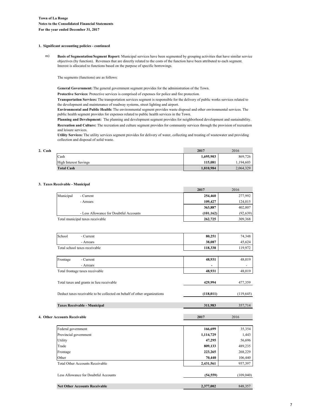#### **1. Significant accounting policies - continued**

m) **Basis of Segmentation/Segment Report:** Municipal services have been segmented by grouping activities that have similar service objectives (by function). Revenues that are directly related to the costs of the function have been attributed to each segment. Interest is allocated to functions based on the purpose of specific borrowings.

The segments (functions) are as follows:

**General Government:** The general government segment provides for the administration of the Town.

**Protective Services**: Protective services is comprised of expenses for police and fire protection.

**Transportation Services:** The transportation services segment is responsible for the delivery of public works services related to the development and maintenance of roadway systems, street lighting and airport.

**Environmental and Public Health:** The environmental segment provides waste disposal and other environmental services. The public health segment provides for expenses related to public health services in the Town.

**Planning and Development:** The planning and development segment provides for neighborhood development and sustainability. **Recreation and Culture:** The recreation and culture segment provides for community services through the provision of recreation and leisure services.

**Utility Services:** The utility services segment provides for delivery of water, collecting and treating of wastewater and providing collection and disposal of solid waste.

| 2. Cash |                              | 2017      | 2016      |
|---------|------------------------------|-----------|-----------|
|         | Cash                         | 1,695,903 | 869,726   |
|         | <b>High Interest Savings</b> | 115.081   | 1.194.603 |
|         | <b>Total Cash</b>            | 1.810.984 | 2,064,329 |

#### **3. Taxes Receivable - Municipal**

|                              |                                                                          | 2017       | 2016                     |
|------------------------------|--------------------------------------------------------------------------|------------|--------------------------|
| Municipal                    | - Current                                                                | 254,460    | 277,992                  |
|                              | - Arrears                                                                | 109,427    | 124,015                  |
|                              |                                                                          | 363,887    | 402,007                  |
|                              | - Less Allowance for Doubtful Accounts                                   | (101, 162) | (92, 639)                |
|                              | Total municipal taxes receivable                                         | 262,725    | 309,368                  |
|                              |                                                                          |            |                          |
| School                       | - Current                                                                | 80,251     | 74,348                   |
|                              | - Arrears                                                                | 38,087     | 45,624                   |
|                              | Total school taxes receivable                                            | 118,338    | 119,972                  |
| Frontage                     | - Current                                                                | 48,931     | 48,019                   |
|                              | - Arrears                                                                |            | $\overline{\phantom{a}}$ |
|                              | Total frontage taxes receivable                                          | 48,931     | 48,019                   |
|                              | Total taxes and grants in lieu receivable                                | 429,994    | 477,359                  |
|                              | Deduct taxes receivable to be collected on behalf of other organizations | (118, 011) | (119, 645)               |
|                              | <b>Taxes Receivable - Municipal</b>                                      | 311,983    | 357,714                  |
| 4. Other Accounts Receivable |                                                                          | 2017       | 2016                     |
|                              |                                                                          |            |                          |
| Federal government           |                                                                          | 166,699    | 35,354                   |
| Provincial government        |                                                                          | 1,114,729  | 1,443                    |
| Utility                      |                                                                          | 47,295     | 56,696                   |
| Trade                        |                                                                          | 809,133    | 489,235                  |
| Frontage                     |                                                                          | 223,265    | 268,229                  |
| Other                        |                                                                          | 70,440     | 106,440                  |
|                              | <b>Total Other Accounts Receivable</b>                                   | 2,431,561  | 957,397                  |

| Less Allowance for Doubtful Accounts | (54.559)  | (109.040) |
|--------------------------------------|-----------|-----------|
|                                      |           |           |
| <b>Net Other Accounts Receivable</b> | 2,377,002 | 848,357   |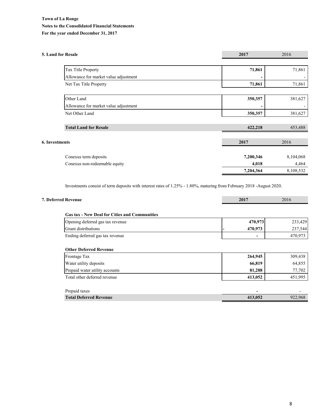# **Town of La Ronge Notes to the Consolidated Financial Statements For the year ended December 31, 2017**

| <b>5. Land for Resale</b>             | 2017      | 2016      |
|---------------------------------------|-----------|-----------|
|                                       |           |           |
| Tax Title Property                    | 71,861    | 71,861    |
| Allowance for market value adjustment |           |           |
| Net Tax Title Property                | 71,861    | 71,861    |
|                                       |           |           |
| Other Land                            | 350,357   | 381,627   |
| Allowance for market value adjustment |           |           |
| Net Other Land                        | 350,357   | 381,627   |
|                                       |           |           |
| <b>Total Land for Resale</b>          | 422,218   | 453,488   |
|                                       |           |           |
| <b>6. Investments</b>                 | 2017      | 2016      |
|                                       |           |           |
| Conexus term deposits                 | 7,200,346 | 8,104,068 |
| Conexus non-redeemable equity         | 4,018     | 4,464     |
|                                       | 7,204,364 | 8,108,532 |

Investments consist of term deposits with interest rates of 1.25% - 1.80%, maturing from February 2018 -August 2020.

| 7. Deferred Revenue                                  | 2017    | 2016    |
|------------------------------------------------------|---------|---------|
| <b>Gas tax - New Deal for Cities and Communities</b> |         |         |
| Opening deferred gas tax revenue                     | 470,973 | 233,429 |
| <b>Grant distributions</b>                           | 470,973 | 237,544 |
| Ending deferred gas tax revenue                      | -       | 470,973 |
| Frontage Tax                                         | 264,945 | 309,438 |
|                                                      |         |         |
| Water utility deposits                               | 66,819  | 64,855  |
| Prepaid water utility accounts                       | 81,288  | 77,702  |
| Total other deferred revenue                         | 413,052 | 451,995 |
| Prepaid taxes                                        |         |         |
| <b>Total Deferred Revenue</b>                        | 413,052 | 922,968 |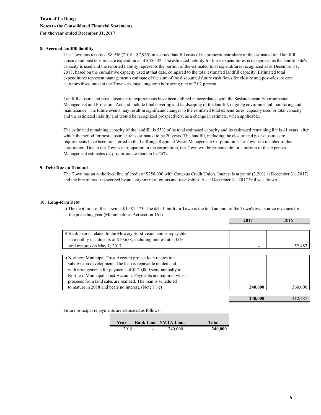#### **8. Accrued landfill liability**

The Town has recorded \$8,936 (2016 - \$7,965) in accrued landfill costs of its proportionate share of the estimated total landfill closure and post closure care expenditures of \$55,532. The estimated liability for these expenditures is recognized as the landfill site's capacity is used and the reported liability represents the portion of the estimated total expenditures recognized as at December 31, 2017, based on the cumulative capacity used at that date, compared to the total estimated landfill capacity. Estimated total expenditures represent management's estimate of the sum of the discounted future cash flows for closure and post-closure care activities discounted at the Town's average long term borrowing rate of 7.02 percent.

Landfill closure and post-closure care requirements have been defined in accordance with the Saskatchewan Environmental Management and Protection Act and include final covering and landscaping of the landfill, ongoing environmental monitoring and maintenance. The future events may result in significant changes to the estimated total expenditures, capacity used or total capacity and the estimated liability and would be recognized prospectively, as a change in estimate, when applicable.

The estimated remaining capacity of the landfill is 55% of its total estimated capacity and its estimated remaining life is 11 years, after which the period for post closure care is estimated to be 20 years. The landfill, including the closure and post-closure care requirements have been transferred to the La Ronge Regional Waste Management Corporation. The Town is a member of that corporation. Due to the Town's participation in the corporation, the Town will be responsible for a portion of the expenses. Management estimates it's proportionate share to be 45%.

#### **9. Debt Due on Demand**

The Town has an authorized line of credit of \$250,000 with Conexus Credit Union. Interest is at prime (3.20% at December 31, 2017) and the line of credit is secured by an assignment of grants and receivables. As at December 31, 2017 \$nil was drawn.

#### **10. Long-term Debt**

**2017** 2016 the preceding year (Municipalities Act section 161) a) The debt limit of the Town is \$3,581,573. The debt limit for a Town is the total amount of the Town's own source revenues for

| b) Bank loan is related to the Mowery Subdivision and is repayable |         |         |
|--------------------------------------------------------------------|---------|---------|
| in monthly instalments of \$10,658, including interest at 5.35%    |         |         |
| and matures on May 1, 2017.                                        |         | 52,487  |
|                                                                    |         |         |
| c) Northern Municipal Trust Account project loan relates to a      |         |         |
| subdivision development. The loan is repayable on demand           |         |         |
| with arrangements for payments of \$120,000 semi-annually to       |         |         |
| Northern Municipal Trust Account. Payments are required when       |         |         |
| proceeds from land sales are realized. The loan is scheduled       |         |         |
| to mature in 2018 and bears no interest. (Note 11 c)               | 240,000 | 360,000 |
|                                                                    |         |         |
|                                                                    | 240,000 | 412.487 |

Future principal repayments are estimated as follows:

| Year |                          | <b>Bank Loan NMTA Loan</b> | <b>Total</b> |
|------|--------------------------|----------------------------|--------------|
| 2018 | $\overline{\phantom{a}}$ | 240,000                    | 240,000      |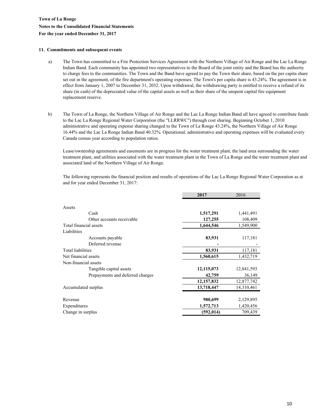# **Town of La Ronge Notes to the Consolidated Financial Statements For the year ended December 31, 2017**

#### **11. Commitments and subsequent events**

- a) The Town has committed to a Fire Protection Services Agreement with the Northern Village of Air Ronge and the Lac La Ronge Indian Band. Each community has appointed two representatives to the Board of the joint entity and the Board has the authority to charge fees to the communities. The Town and the Band have agreed to pay the Town their share, based on the per capita share set out in the agreement, of the fire department's operating expenses. The Town's per capita share is 43.24%. The agreement is in effect from January 1, 2007 to December 31, 2032. Upon withdrawal, the withdrawing party is entitled to receive a refund of its share (in cash) of the depreciated value of the capital assets as well as their share of the unspent capital fire equipment replacement reserve.
- b) The Town of La Ronge, the Northern Village of Air Ronge and the Lac La Ronge Indian Band all have agreed to contribute funds to the Lac La Ronge Regional Water Corporation (the "LLRRWC") through cost sharing. Beginning October 1, 2010 administrative and operating expense sharing changed to the Town of La Ronge 43.24%, the Northern Village of Air Ronge 16.44% and the Lac La Ronge Indian Band 40.32%. Operational, administrative and operating expenses will be evaluated every Canada census year according to population ratios.

Lease/ownership agreements and easements are in progress for the water treatment plant, the land area surrounding the water treatment plant, and utilities associated with the water treatment plant in the Town of La Ronge and the water treatment plant and associated land of the Northern Village of Air Ronge.

The following represents the financial position and results of operations of the Lac La Ronge Regional Water Corporation as at and for year ended December 31, 2017:

|                                  | 2017       | 2016       |
|----------------------------------|------------|------------|
|                                  |            |            |
| Assets                           |            |            |
| Cash                             | 1,517,291  | 1,441,491  |
| Other accounts receivable        | 127,255    | 108,409    |
| Total financial assets           | 1,644,546  | 1,549,900  |
| Liabilities                      |            |            |
| Accounts payable                 | 83,931     | 117,181    |
| Deferred revenue                 |            |            |
| <b>Total liabilities</b>         | 83,931     | 117,181    |
| Net financial assets             | 1,560,615  | 1,432,719  |
| Non-financial assets             |            |            |
| Tangible capital assets          | 12,115,073 | 12,841,593 |
| Prepayments and deferred charges | 42,759     | 36,149     |
|                                  | 12,157,832 | 12,877,742 |
| Accumulated surplus              | 13,718,447 | 14,310,461 |
|                                  |            |            |
| Revenue                          | 980,699    | 2,129,895  |
| Expenditures                     | 1,572,713  | 1,420,456  |
| Change in surplus                | (592, 014) | 709,439    |
|                                  |            |            |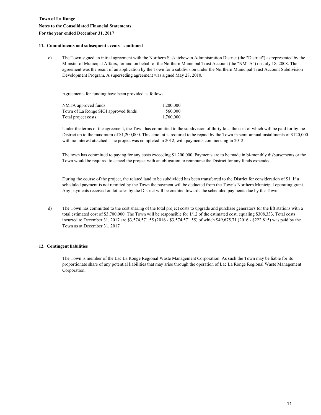# **Town of La Ronge Notes to the Consolidated Financial Statements For the year ended December 31, 2017**

#### **11. Commitments and subsequent events - continued**

c) The Town signed an initial agreement with the Northern Saskatchewan Administration District (the "District") as represented by the Minister of Municipal Affairs, for and on behalf of the Northern Municipal Trust Account (the "NMTA") on July 18, 2008. The agreement was the result of an application by the Town for a subdivision under the Northern Municipal Trust Account Subdivision Development Program. A superseding agreement was signed May 28, 2010.

Agreements for funding have been provided as follows:

| NMTA approved funds                  | 1.200.000 |
|--------------------------------------|-----------|
| Town of La Ronge SIGI approved funds | 560,000   |
| Total project costs                  | 1,760,000 |

Under the terms of the agreement, the Town has committed to the subdivision of thirty lots, the cost of which will be paid for by the District up to the maximum of \$1,200,000. This amount is required to be repaid by the Town in semi-annual installments of \$120,000 with no interest attached. The project was completed in 2012, with payments commencing in 2012.

The town has committed to paying for any costs exceeding \$1,200,000. Payments are to be made in bi-monthly disbursements or the Town would be required to cancel the project with an obligation to reimburse the District for any funds expended.

During the course of the project, the related land to be subdivided has been transferred to the District for consideration of \$1. If a scheduled payment is not remitted by the Town the payment will be deducted from the Town's Northern Municipal operating grant. Any payments received on lot sales by the District will be credited towards the scheduled payments due by the Town.

d) The Town has committed to the cost sharing of the total project costs to upgrade and purchase generators for the lift stations with a total estimated cost of \$3,700,000. The Town will be responsible for 1/12 of the estimated cost, equaling \$308,333. Total costs incurred to December 31, 2017 are \$3,574,571.55 (2016 - \$3,574,571.55) of which \$49,675.71 (2016 - \$222,815) was paid by the Town as at December 31, 2017

#### **12. Contingent liabilities**

The Town is member of the Lac La Ronge Regional Waste Management Corporation. As such the Town may be liable for its proportionate share of any potential liabilities that may arise through the operation of Lac La Ronge Regional Waste Management Corporation.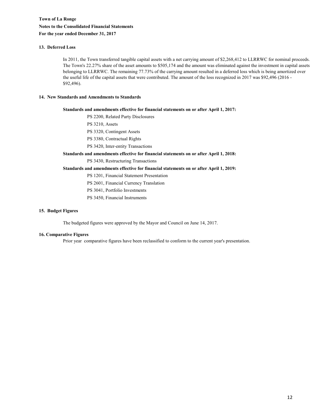#### **13. Deferred Loss**

In 2011, the Town transferred tangible capital assets with a net carrying amount of \$2,268,412 to LLRRWC for nominal proceeds. The Town's 22.27% share of the asset amounts to \$505,174 and the amount was eliminated against the investment in capital assets belonging to LLRRWC. The remaining 77.73% of the carrying amount resulted in a deferred loss which is being amortized over the useful life of the capital assets that were contributed. The amount of the loss recognized in 2017 was \$92,496 (2016 - \$92,496).

#### **14. New Standards and Amendments to Standards**

**Standards and amendments effective for financial statements on or after April 1, 2017:**

PS 2200, Related Party Disclosures

PS 3210, Assets

PS 3320, Contingent Assets

PS 3380, Contractual Rights

PS 3420, Inter-entity Transactions

#### **Standards and amendments effective for financial statements on or after April 1, 2018:**

PS 3430, Restructuring Transactions

#### **Standards and amendments effective for financial statements on or after April 1, 2019:**

PS 1201, Financial Statement Presentation

PS 2601, Financial Currency Translation

PS 3041, Portfolio Investments

PS 3450, Financial Instruments

#### **15. Budget Figures**

The budgeted figures were approved by the Mayor and Council on June 14, 2017.

#### **16. Comparative Figures**

Prior year comparative figures have been reclassified to conform to the current year's presentation.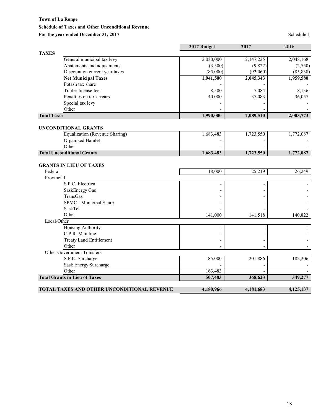# **Schedule of Taxes and Other Unconditional Revenue**

# For the year ended December 31, 2017 Schedule 1

|                                             | 2017 Budget | 2017      | 2016      |
|---------------------------------------------|-------------|-----------|-----------|
| <b>TAXES</b>                                |             |           |           |
| General municipal tax levy                  | 2,030,000   | 2,147,225 | 2,048,168 |
| Abatements and adjustments                  | (3,500)     | (9,822)   | (2,750)   |
| Discount on current year taxes              | (85,000)    | (92,060)  | (85, 838) |
| <b>Net Municipal Taxes</b>                  | 1,941,500   | 2,045,343 | 1,959,580 |
| Potash tax share                            |             |           |           |
| Trailer license fees                        | 8,500       | 7,084     | 8,136     |
| Penalties on tax arrears                    | 40,000      | 37,083    | 36,057    |
| Special tax levy                            |             |           |           |
| Other                                       |             |           |           |
| <b>Total Taxes</b>                          | 1,990,000   | 2,089,510 | 2,003,773 |
| <b>UNCONDITIONAL GRANTS</b>                 |             |           |           |
| <b>Equalization (Revenue Sharing)</b>       | 1,683,483   | 1,723,550 | 1,772,087 |
| Organized Hamlet                            |             |           |           |
| Other                                       |             |           |           |
| <b>Total Unconditional Grants</b>           | 1,683,483   | 1,723,550 | 1,772,087 |
|                                             |             |           |           |
| <b>GRANTS IN LIEU OF TAXES</b>              |             |           |           |
| Federal                                     | 18,000      | 25,219    | 26,249    |
| Provincial                                  |             |           |           |
| S.P.C. Electrical                           |             |           |           |
| SaskEnergy Gas                              |             |           |           |
| TransGas                                    |             |           |           |
| SPMC - Municipal Share                      |             |           |           |
| SaskTel                                     |             |           |           |
| Other                                       | 141,000     | 141,518   | 140,822   |
| Local/Other                                 |             |           |           |
| <b>Housing Authority</b>                    |             |           |           |
| C.P.R. Mainline                             |             |           |           |
| <b>Treaty Land Entitlement</b>              |             |           |           |
| Other                                       |             |           |           |
| Other Government Transfers                  |             |           |           |
| S.P.C. Surcharge                            | 185,000     | 201,886   | 182,206   |
| <b>Sask Energy Surcharge</b>                |             |           |           |
| Other                                       | 163,483     |           |           |
| <b>Total Grants in Lieu of Taxes</b>        | 507,483     | 368,623   | 349,277   |
| TOTAL TAXES AND OTHER UNCONDITIONAL REVENUE | 4,180,966   | 4,181,683 | 4,125,137 |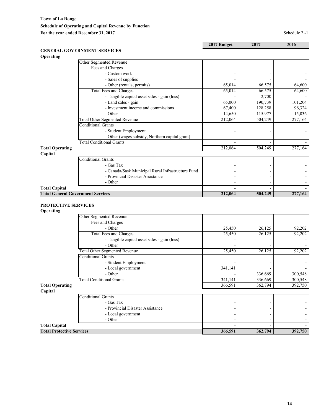# **2017 Budget 2017** 2016

| <b>GENERAL GOVERNMENT SERVICES</b> |
|------------------------------------|
| <b>Operating</b>                   |

| <b>Operating</b>       |                                                   |         |         |         |
|------------------------|---------------------------------------------------|---------|---------|---------|
|                        | Other Segmented Revenue                           |         |         |         |
|                        | Fees and Charges                                  |         |         |         |
|                        | - Custom work                                     |         |         |         |
|                        | - Sales of supplies                               |         |         |         |
|                        | - Other (rentals, permits)                        | 65,014  | 66,575  | 64,600  |
|                        | Total Fees and Charges                            | 65,014  | 66,575  | 64,600  |
|                        | - Tangible capital asset sales - gain (loss)      |         | 2,700   |         |
|                        | - Land sales - gain                               | 65,000  | 190,739 | 101,204 |
|                        | - Investment income and commissions               | 67,400  | 128,258 | 96,324  |
|                        | - Other                                           | 14,650  | 115,977 | 15,036  |
|                        | <b>Total Other Segmented Revenue</b>              | 212,064 | 504,249 | 277,164 |
|                        | <b>Conditional Grants</b>                         |         |         |         |
|                        | - Student Employment                              |         |         |         |
|                        | - Other (wages subsidy, Northern capital grant)   |         |         |         |
|                        | <b>Total Conditional Grants</b>                   |         |         |         |
| <b>Total Operating</b> |                                                   | 212,064 | 504,249 | 277,164 |
| Capital                |                                                   |         |         |         |
|                        | <b>Conditional Grants</b>                         |         |         |         |
|                        | - Gas Tax                                         |         |         |         |
|                        | - Canada/Sask Municipal Rural Infrastructure Fund |         |         |         |
|                        | - Provincial Disaster Assistance                  |         |         |         |
|                        | - Other                                           |         |         |         |
| <b>Total Capital</b>   |                                                   |         |         |         |

**Capital**

| <b>Total General Government Services</b> | 212,064 | 504,249 | 7.164 |
|------------------------------------------|---------|---------|-------|
|                                          |         |         |       |

#### **PROTECTIVE SERVICES**

## **Operating**

|                                  | Other Segmented Revenue                      |         |         |         |
|----------------------------------|----------------------------------------------|---------|---------|---------|
|                                  | Fees and Charges                             |         |         |         |
|                                  | - Other                                      | 25,450  | 26,125  | 92,202  |
|                                  | <b>Total Fees and Charges</b>                | 25,450  | 26,125  | 92,202  |
|                                  | - Tangible capital asset sales - gain (loss) |         |         |         |
|                                  | - Other                                      |         |         |         |
|                                  | <b>Total Other Segmented Revenue</b>         | 25,450  | 26,125  | 92,202  |
|                                  | <b>Conditional Grants</b>                    |         |         |         |
|                                  | - Student Employment                         |         |         |         |
|                                  | - Local government                           | 341,141 |         |         |
|                                  | - Other                                      |         | 336,669 | 300,548 |
|                                  | <b>Total Conditional Grants</b>              | 341,141 | 336,669 | 300,548 |
| <b>Total Operating</b>           |                                              | 366,591 | 362,794 | 392,750 |
| Capital                          |                                              |         |         |         |
|                                  | <b>Conditional Grants</b>                    |         |         |         |
|                                  | - Gas Tax                                    |         |         |         |
|                                  | - Provincial Disaster Assistance             |         |         |         |
|                                  | - Local government                           |         |         |         |
|                                  | - Other                                      |         |         |         |
| <b>Total Capital</b>             |                                              |         |         |         |
| <b>Total Protective Services</b> |                                              | 366,591 | 362,794 | 392,750 |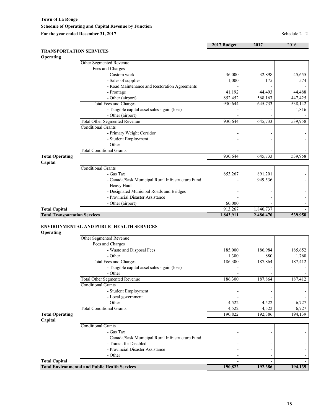**Town of La Ronge Schedule of Operating and Capital Revenue by Function** For the year ended December 31, 2017<br>Schedule 2 - 2

|                                      |                                                   | 2017 Budget | 2017      | 2016    |
|--------------------------------------|---------------------------------------------------|-------------|-----------|---------|
| <b>TRANSPORTATION SERVICES</b>       |                                                   |             |           |         |
| Operating                            |                                                   |             |           |         |
|                                      | Other Segmented Revenue                           |             |           |         |
|                                      | Fees and Charges                                  |             |           |         |
|                                      | - Custom work                                     | 36,000      | 32,898    | 45,655  |
|                                      | - Sales of supplies                               | 1,000       | 175       | 574     |
|                                      | - Road Maintenance and Restoration Agreements     |             |           |         |
|                                      | - Frontage                                        | 41,192      | 44,493    | 44,488  |
|                                      | - Other (airport)                                 | 852,452     | 568,167   | 447,425 |
|                                      | <b>Total Fees and Charges</b>                     | 930,644     | 645,733   | 538,142 |
|                                      | - Tangible capital asset sales - gain (loss)      |             |           | 1,816   |
|                                      | - Other (airport)                                 |             |           |         |
|                                      | <b>Total Other Segmented Revenue</b>              | 930,644     | 645,733   | 539,958 |
|                                      | <b>Conditional Grants</b>                         |             |           |         |
|                                      | - Primary Weight Corridor                         |             |           |         |
|                                      | - Student Employment                              |             |           |         |
|                                      | - Other                                           |             |           |         |
|                                      | <b>Total Conditional Grants</b>                   |             |           |         |
| <b>Total Operating</b>               |                                                   | 930.644     | 645,733   | 539,958 |
| Capital                              |                                                   |             |           |         |
|                                      | <b>Conditional Grants</b>                         |             |           |         |
|                                      | - Gas Tax                                         | 853,267     | 891,201   |         |
|                                      | - Canada/Sask Municipal Rural Infrastructure Fund |             | 949,536   |         |
|                                      | - Heavy Haul                                      |             |           |         |
|                                      | - Designated Municipal Roads and Bridges          |             |           |         |
|                                      | - Provincial Disaster Assistance                  |             |           |         |
|                                      | - Other (airport)                                 | 60,000      |           |         |
| <b>Total Capital</b>                 |                                                   | 913,267     | 1,840,737 |         |
| <b>Total Transportation Services</b> |                                                   | 1,843,911   | 2,486,470 | 539,958 |

# **ENVIRONMENTAL AND PUBLIC HEALTH SERVICES**

**Operating**

|                        | Other Segmented Revenue                               |         |         |         |
|------------------------|-------------------------------------------------------|---------|---------|---------|
|                        | Fees and Charges                                      |         |         |         |
|                        | - Waste and Disposal Fees                             | 185,000 | 186,984 | 185,652 |
|                        | - Other                                               | 1,300   | 880     | 1,760   |
|                        | Total Fees and Charges                                | 186,300 | 187,864 | 187,412 |
|                        | - Tangible capital asset sales - gain (loss)          |         |         |         |
|                        | - Other                                               |         |         |         |
|                        | <b>Total Other Segmented Revenue</b>                  | 186,300 | 187,864 | 187,412 |
|                        | <b>Conditional Grants</b>                             |         |         |         |
|                        | - Student Employment                                  |         |         |         |
|                        | - Local government                                    |         |         |         |
|                        | - Other                                               | 4,522   | 4,522   | 6,727   |
|                        | <b>Total Conditional Grants</b>                       | 4,522   | 4,522   | 6,727   |
| <b>Total Operating</b> |                                                       | 190,822 | 192,386 | 194,139 |
| Capital                |                                                       |         |         |         |
|                        | <b>Conditional Grants</b>                             |         |         |         |
|                        | - Gas Tax                                             |         |         |         |
|                        | - Canada/Sask Municipal Rural Infrastructure Fund     |         |         |         |
|                        | - Transit for Disabled                                |         |         |         |
|                        | - Provincial Disaster Assistance                      |         |         |         |
|                        | - Other                                               |         |         |         |
| <b>Total Capital</b>   |                                                       |         |         |         |
|                        | <b>Total Environmental and Public Health Services</b> | 190,822 | 192,386 | 194,139 |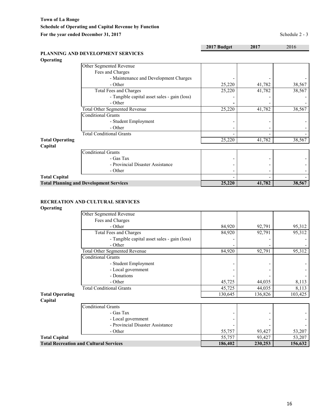Conditional Grants

|                  |                                              | 2017 Budget | 2017   | 2016   |
|------------------|----------------------------------------------|-------------|--------|--------|
| <b>Operating</b> | PLANNING AND DEVELOPMENT SERVICES            |             |        |        |
|                  | Other Segmented Revenue                      |             |        |        |
|                  | Fees and Charges                             |             |        |        |
|                  | - Maintenance and Development Charges        |             |        |        |
|                  | - Other                                      | 25,220      | 41,782 | 38,567 |
|                  | Total Fees and Charges                       | 25,220      | 41,782 | 38,567 |
|                  | - Tangible capital asset sales - gain (loss) |             |        |        |

| <b>Total Operating</b> |                                                | 25,220 | 41,782 | 38,567 |
|------------------------|------------------------------------------------|--------|--------|--------|
| Capital                |                                                |        |        |        |
|                        | <b>Conditional Grants</b>                      |        |        |        |
|                        | - Gas Tax                                      |        |        |        |
|                        | - Provincial Disaster Assistance               |        |        |        |
|                        | - Other                                        | -      |        |        |
| <b>Total Capital</b>   |                                                |        |        |        |
|                        | <b>Total Planning and Development Services</b> | 25,220 | 41,782 | 38,567 |
|                        |                                                |        |        |        |

- Other **-** - -

- Other - - -

Total Other Segmented Revenue 25,220 41,782 38,567

Total Conditional Grants - - -

- Student Employment - - -

# **RECREATION AND CULTURAL SERVICES**

#### **Operating**

|                        | Other Segmented Revenue                       |         |         |         |
|------------------------|-----------------------------------------------|---------|---------|---------|
|                        | Fees and Charges                              |         |         |         |
|                        | - Other                                       | 84,920  | 92,791  | 95,312  |
|                        | Total Fees and Charges                        | 84,920  | 92,791  | 95,312  |
|                        | - Tangible capital asset sales - gain (loss)  |         |         |         |
|                        | - Other                                       |         |         |         |
|                        | <b>Total Other Segmented Revenue</b>          | 84,920  | 92,791  | 95,312  |
|                        | <b>Conditional Grants</b>                     |         |         |         |
|                        | - Student Employment                          |         |         |         |
|                        | - Local government                            |         |         |         |
|                        | - Donations                                   |         |         |         |
|                        | - Other                                       | 45,725  | 44,035  | 8,113   |
|                        | <b>Total Conditional Grants</b>               | 45,725  | 44,035  | 8,113   |
| <b>Total Operating</b> |                                               | 130,645 | 136,826 | 103,425 |
| Capital                |                                               |         |         |         |
|                        | <b>Conditional Grants</b>                     |         |         |         |
|                        | - Gas Tax                                     |         |         |         |
|                        | - Local government                            |         |         |         |
|                        | - Provincial Disaster Assistance              |         |         |         |
|                        | - Other                                       | 55,757  | 93,427  | 53,207  |
| <b>Total Capital</b>   |                                               | 55,757  | 93,427  | 53,207  |
|                        | <b>Total Recreation and Cultural Services</b> | 186,402 | 230,253 | 156,632 |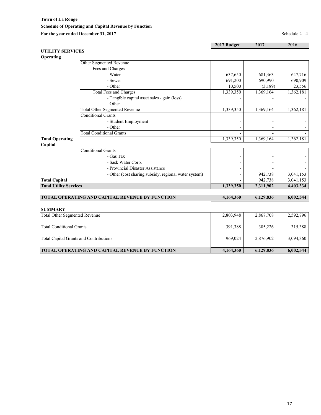**Town of La Ronge Schedule of Operating and Capital Revenue by Function** For the year ended December 31, 2017 Schedule 2 - 4

|                                      |                                                        | 2017 Budget | 2017      | 2016      |
|--------------------------------------|--------------------------------------------------------|-------------|-----------|-----------|
| <b>UTILITY SERVICES</b>              |                                                        |             |           |           |
| Operating                            |                                                        |             |           |           |
|                                      | Other Segmented Revenue                                |             |           |           |
|                                      | Fees and Charges                                       |             |           |           |
|                                      | - Water                                                | 637,650     | 681,363   | 647,716   |
|                                      | - Sewer                                                | 691,200     | 690,990   | 690,909   |
|                                      | - Other                                                | 10,500      | (3,189)   | 23,556    |
|                                      | Total Fees and Charges                                 | 1,339,350   | 1,369,164 | 1,362,181 |
|                                      | - Tangible capital asset sales - gain (loss)           |             |           |           |
|                                      | - Other                                                |             |           |           |
|                                      | <b>Total Other Segmented Revenue</b>                   | 1,339,350   | 1,369,164 | 1,362,181 |
|                                      | <b>Conditional Grants</b>                              |             |           |           |
|                                      | - Student Employment                                   |             |           |           |
|                                      | - Other                                                |             |           |           |
|                                      | <b>Total Conditional Grants</b>                        |             |           |           |
| <b>Total Operating</b>               |                                                        | 1,339,350   | 1,369,164 | 1,362,181 |
| Capital                              |                                                        |             |           |           |
|                                      | <b>Conditional Grants</b>                              |             |           |           |
|                                      | - Gas Tax                                              |             |           |           |
|                                      | - Sask Water Corp.                                     |             |           |           |
|                                      | - Provincial Disaster Assistance                       |             |           |           |
|                                      | - Other (cost sharing subsidy, regional water system)  |             | 942,738   | 3,041,153 |
| <b>Total Capital</b>                 |                                                        |             | 942,738   | 3,041,153 |
| <b>Total Utility Services</b>        |                                                        | 1,339,350   | 2,311,902 | 4,403,334 |
|                                      | TOTAL OPERATING AND CAPITAL REVENUE BY FUNCTION        | 4,164,360   | 6,129,836 | 6,002,544 |
|                                      |                                                        |             |           |           |
| <b>SUMMARY</b>                       |                                                        |             |           |           |
| <b>Total Other Segmented Revenue</b> |                                                        | 2,803,948   | 2,867,708 | 2,592,796 |
| <b>Total Conditional Grants</b>      |                                                        | 391,388     | 385,226   | 315,388   |
|                                      | <b>Total Capital Grants and Contributions</b>          | 969,024     | 2,876,902 | 3,094,360 |
|                                      | <b>TOTAL OPERATING AND CAPITAL REVENUE BY FUNCTION</b> | 4,164,360   | 6,129,836 | 6,002,544 |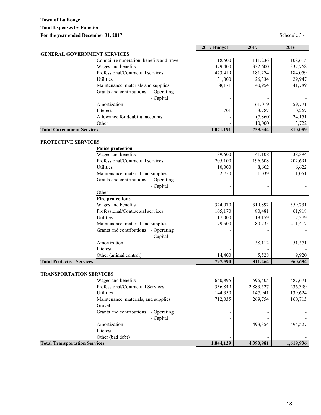|                                           | 2017 Budget | 2017    | 2016    |
|-------------------------------------------|-------------|---------|---------|
| <b>GENERAL GOVERNMENT SERVICES</b>        |             |         |         |
| Council remuneration, benefits and travel | 118,500     | 111,236 | 108,615 |
| Wages and benefits                        | 379,400     | 332,600 | 337,768 |
| Professional/Contractual services         | 473,419     | 181,274 | 184,059 |
| <b>Utilities</b>                          | 31,000      | 26,334  | 29,947  |
| Maintenance, materials and supplies       | 68,171      | 40,954  | 41,789  |
| Grants and contributions<br>- Operating   |             |         |         |
| - Capital                                 |             |         |         |
| Amortization                              |             | 61,019  | 59,771  |
| Interest                                  | 701         | 3,787   | 10,267  |
| Allowance for doubtful accounts           |             | (7,860) | 24,151  |
| Other                                     |             | 10,000  | 13,722  |
| <b>Total Government Services</b>          | 1,071,191   | 759,344 | 810,089 |

# **PROTECTIVE SERVICES**

| <b>Police protection</b>                |         |         |         |
|-----------------------------------------|---------|---------|---------|
| Wages and benefits                      | 39,600  | 41,108  | 38,394  |
| Professional/Contractual services       | 205,100 | 196,608 | 202,691 |
| Utilities                               | 10,000  | 8,602   | 6,622   |
| Maintenance, material and supplies      | 2,750   | 1,039   | 1,051   |
| Grants and contributions<br>- Operating |         |         |         |
| - Capital                               |         |         |         |
| Other                                   |         |         |         |
| <b>Fire protections</b>                 |         |         |         |
| Wages and benefits                      | 324,070 | 319,892 | 359,731 |
| Professional/Contractual services       | 105,170 | 80,481  | 61,918  |
| <b>Utilities</b>                        | 17,000  | 19,159  | 17,379  |
| Maintenance, material and supplies      | 79,500  | 80,735  | 211,417 |
| Grants and contributions<br>- Operating |         |         |         |
| - Capital                               |         |         |         |
| Amortization                            |         | 58,112  | 51,571  |
| Interest                                |         |         |         |
| Other (animal control)                  | 14,400  | 5,528   | 9,920   |
| <b>Total Protective Services</b>        | 797,590 | 811,264 | 960,694 |

# **TRANSPORTATION SERVICES**

| <b>Total Transportation Services</b>    | 1,844,129 | 4,390,981 | 1,619,936 |
|-----------------------------------------|-----------|-----------|-----------|
| Other (bad debt)                        |           |           |           |
| Interest                                |           |           |           |
| Amortization                            |           | 493,354   | 495,527   |
| - Capital                               |           |           |           |
| Grants and contributions<br>- Operating |           |           |           |
| Gravel                                  |           |           |           |
| Maintenance, materials, and supplies    | 712,035   | 269,754   | 160,715   |
| Utilities                               | 144,350   | 147.941   | 139,624   |
| Professional/Contractual Services       | 336,849   | 2,883,527 | 236,399   |
| Wages and benefits                      | 650,895   | 596,405   | 587,671   |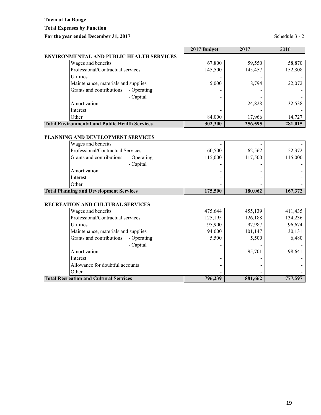**Total Expenses by Function**

# For the year ended December 31, 2017 Schedule 3 - 2

|                                                       | 2017 Budget | 2017    | 2016    |  |
|-------------------------------------------------------|-------------|---------|---------|--|
| <b>ENVIRONMENTAL AND PUBLIC HEALTH SERVICES</b>       |             |         |         |  |
| Wages and benefits                                    | 67,800      | 59,550  | 58,870  |  |
| Professional/Contractual services                     | 145,500     | 145,457 | 152,808 |  |
| <b>Utilities</b>                                      |             |         |         |  |
| Maintenance, materials and supplies                   | 5,000       | 8,794   | 22,072  |  |
| Grants and contributions<br>- Operating               |             |         |         |  |
| - Capital                                             |             |         |         |  |
| Amortization                                          |             | 24,828  | 32,538  |  |
| Interest                                              |             |         |         |  |
| Other                                                 | 84,000      | 17,966  | 14,727  |  |
| <b>Total Environmental and Public Health Services</b> | 302,300     | 256,595 | 281,015 |  |

#### **PLANNING AND DEVELOPMENT SERVICES**

| Wages and benefits                             |         |         |         |
|------------------------------------------------|---------|---------|---------|
| Professional/Contractual Services              | 60,500  | 62.562  | 52,372  |
| Grants and contributions<br>- Operating        | 115,000 | 117,500 | 115,000 |
| - Capital                                      | -       |         |         |
| Amortization                                   |         | -       |         |
| Interest                                       |         |         |         |
| Other                                          |         |         |         |
| <b>Total Planning and Development Services</b> | 175,500 | 180,062 | 167,372 |

# **RECREATION AND CULTURAL SERVICES**

| <b>Total Recreation and Cultural Services</b> | 796,239 | 881,662 | 777,597 |
|-----------------------------------------------|---------|---------|---------|
| Other                                         |         | -       |         |
| Allowance for doubtful accounts               |         |         |         |
| Interest                                      |         |         |         |
| Amortization                                  | -       | 95,701  | 98,641  |
| - Capital                                     |         |         |         |
| Grants and contributions<br>- Operating       | 5,500   | 5,500   | 6,480   |
| Maintenance, materials and supplies           | 94,000  | 101,147 | 30,131  |
| <b>Utilities</b>                              | 95,900  | 97,987  | 96,674  |
| Professional/Contractual services             | 125,195 | 126,188 | 134,236 |
| Wages and benefits                            | 475,644 | 455,139 | 411,435 |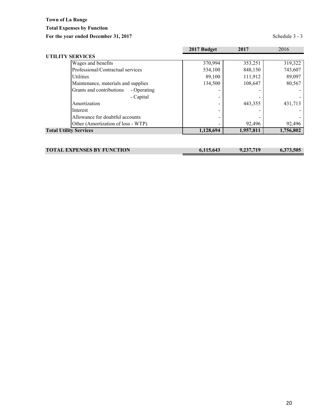**Total Expenses by Function**

For the year ended December 31, 2017 Schedule 3 - 3

|                                         | 2017 Budget | 2017      | 2016      |
|-----------------------------------------|-------------|-----------|-----------|
| <b>UTILITY SERVICES</b>                 |             |           |           |
| Wages and benefits                      | 370,994     | 353,251   | 319,322   |
| Professional/Contractual services       | 534,100     | 848,150   | 743,607   |
| <b>Utilities</b>                        | 89,100      | 111,912   | 89,097    |
| Maintenance, materials and supplies     | 134,500     | 108,647   | 80,567    |
| Grants and contributions<br>- Operating |             |           |           |
| - Capital                               |             |           |           |
| Amortization                            |             | 443,355   | 431,713   |
| Interest                                |             |           |           |
| Allowance for doubtful accounts         |             |           |           |
| Other (Amortization of loss - WTP)      |             | 92,496    | 92,496    |
| <b>Total Utility Services</b>           | 1,128,694   | 1,957,811 | 1,756,802 |
|                                         |             |           |           |

| <b>TOTAL EXPENSES BY FUNCTION</b> | 6,115,643 | 9,237,719 | 6.373.505 |
|-----------------------------------|-----------|-----------|-----------|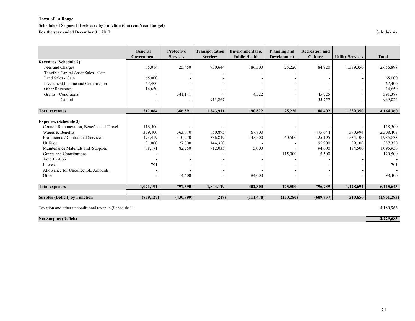# **Schedule of Segment Disclosure by Function (Current Year Budget)**

**For the year ended December 31, 2017** Schedule 4-1

|                                           | General<br>Government | <b>Protective</b><br><b>Services</b> | <b>Transportation</b><br><b>Services</b> | Environmental &<br><b>Public Health</b> | <b>Planning and</b><br>Development | <b>Recreation and</b><br><b>Culture</b> | <b>Utility Services</b> | <b>Total</b> |
|-------------------------------------------|-----------------------|--------------------------------------|------------------------------------------|-----------------------------------------|------------------------------------|-----------------------------------------|-------------------------|--------------|
| <b>Revenues (Schedule 2)</b>              |                       |                                      |                                          |                                         |                                    |                                         |                         |              |
| Fees and Charges                          | 65,014                | 25,450                               | 930,644                                  | 186,300                                 | 25,220                             | 84,920                                  | 1,339,350               | 2,656,898    |
| Tangible Capital Asset Sales - Gain       |                       |                                      |                                          |                                         |                                    |                                         |                         |              |
| Land Sales - Gain                         | 65,000                |                                      |                                          |                                         |                                    |                                         |                         | 65,000       |
| Investment Income and Commissions         | 67,400                |                                      |                                          |                                         |                                    |                                         |                         | 67,400       |
| Other Revenues                            | 14,650                |                                      |                                          |                                         |                                    |                                         |                         | 14,650       |
| Grants - Conditional                      |                       | 341,141                              |                                          | 4,522                                   |                                    | 45,725                                  |                         | 391,388      |
| - Capital                                 |                       |                                      | 913,267                                  |                                         |                                    | 55,757                                  |                         | 969,024      |
|                                           |                       |                                      |                                          |                                         |                                    |                                         |                         |              |
| <b>Total revenues</b>                     | 212,064               | 366,591                              | 1,843,911                                | 190,822                                 | 25,220                             | 186,402                                 | 1,339,350               | 4,164,360    |
| <b>Expenses (Schedule 3)</b>              |                       |                                      |                                          |                                         |                                    |                                         |                         |              |
| Council Remuneration, Benefits and Travel | 118,500               |                                      |                                          |                                         |                                    |                                         |                         | 118,500      |
| Wages & Benefits                          | 379,400               | 363,670                              | 650,895                                  | 67,800                                  |                                    | 475,644                                 | 370,994                 | 2,308,403    |
| Professional/Contractual Services         | 473,419               | 310,270                              | 336,849                                  | 145,500                                 | 60,500                             | 125,195                                 | 534,100                 | 1,985,833    |
| Utilities                                 | 31,000                | 27,000                               | 144,350                                  |                                         |                                    | 95,900                                  | 89.100                  | 387,350      |
| Maintenance Materials and Supplies        | 68,171                | 82,250                               | 712,035                                  | 5,000                                   |                                    | 94,000                                  | 134,500                 | 1,095,956    |
| Grants and Contributions                  |                       |                                      |                                          |                                         | 115,000                            | 5,500                                   |                         | 120,500      |
| Amortization                              |                       |                                      |                                          |                                         |                                    |                                         |                         |              |
| Interest                                  | 701                   |                                      |                                          |                                         |                                    |                                         |                         | 701          |
| Allowance for Uncollectible Amounts       |                       |                                      |                                          |                                         |                                    |                                         |                         |              |
| Other                                     |                       | 14,400                               |                                          | 84,000                                  |                                    |                                         |                         | 98,400       |
| <b>Total expenses</b>                     | 1,071,191             | 797,590                              | 1,844,129                                | 302,300                                 | 175,500                            | 796,239                                 | 1,128,694               | 6,115,643    |
|                                           |                       |                                      |                                          |                                         |                                    |                                         |                         |              |
| <b>Surplus (Deficit) by Function</b>      | (859, 127)            | (430,999)                            | (218)                                    | (111, 478)                              | (150, 280)                         | (609, 837)                              | 210,656                 | (1,951,283)  |

Taxation and other unconditional revenue (Schedule 1) 4,180,966

**Net Surplus (Deficit) 2,229,683**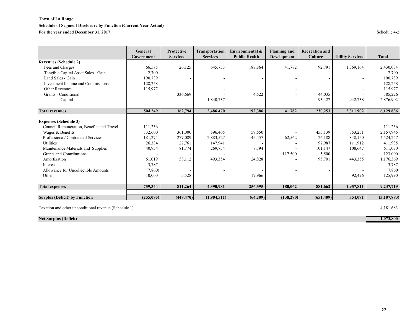# **Schedule of Segment Disclosure by Function (Current Year Actual)**

For the year ended December 31, 2017<br>Schedule 4-2

|                                           | General    | <b>Protective</b> | <b>Transportation</b> | Environmental &      | <b>Planning and</b> | <b>Recreation and</b> |                         |              |
|-------------------------------------------|------------|-------------------|-----------------------|----------------------|---------------------|-----------------------|-------------------------|--------------|
|                                           | Government | <b>Services</b>   | <b>Services</b>       | <b>Public Health</b> | Development         | <b>Culture</b>        | <b>Utility Services</b> | <b>Total</b> |
| <b>Revenues (Schedule 2)</b>              |            |                   |                       |                      |                     |                       |                         |              |
| Fees and Charges                          | 66,575     | 26,125            | 645,733               | 187,864              | 41,782              | 92,791                | 1,369,164               | 2,430,034    |
| Tangible Capital Asset Sales - Gain       | 2,700      |                   |                       |                      |                     |                       |                         | 2,700        |
| Land Sales - Gain                         | 190,739    |                   |                       |                      |                     |                       |                         | 190,739      |
| Investment Income and Commissions         | 128,258    |                   |                       |                      |                     |                       |                         | 128,258      |
| Other Revenues                            | 115,977    |                   |                       |                      |                     |                       |                         | 115,977      |
| Grants - Conditional                      |            | 336,669           |                       | 4,522                |                     | 44,035                |                         | 385,226      |
| - Capital                                 |            |                   | 1,840,737             |                      |                     | 93,427                | 942,738                 | 2,876,902    |
|                                           |            |                   |                       |                      |                     |                       |                         |              |
| <b>Total revenues</b>                     | 504,249    | 362,794           | 2,486,470             | 192,386              | 41,782              | 230,253               | 2,311,902               | 6,129,836    |
|                                           |            |                   |                       |                      |                     |                       |                         |              |
| <b>Expenses (Schedule 3)</b>              |            |                   |                       |                      |                     |                       |                         |              |
| Council Remuneration, Benefits and Travel | 111,236    |                   |                       |                      |                     |                       |                         | 111,236      |
| Wages & Benefits                          | 332,600    | 361,000           | 596,405               | 59,550               |                     | 455,139               | 353,251                 | 2,157,945    |
| Professional/Contractual Services         | 181,274    | 277,089           | 2,883,527             | 145,457              | 62,562              | 126,188               | 848,150                 | 4,524,247    |
| Utilities                                 | 26,334     | 27,761            | 147,941               |                      |                     | 97,987                | 111,912                 | 411,935      |
| Maintenance Materials and Supplies        | 40,954     | 81,774            | 269,754               | 8,794                |                     | 101,147               | 108,647                 | 611,070      |
| Grants and Contributions                  |            |                   |                       |                      | 117,500             | 5,500                 |                         | 123,000      |
| Amortization                              | 61,019     | 58,112            | 493,354               | 24,828               |                     | 95,701                | 443,355                 | 1,176,369    |
| Interest                                  | 3,787      |                   |                       |                      |                     |                       |                         | 3,787        |
| Allowance for Uncollectible Amounts       | (7,860)    |                   |                       |                      |                     |                       |                         | (7,860)      |
| Other                                     | 10,000     | 5,528             |                       | 17,966               |                     |                       | 92,496                  | 125,990      |
| <b>Total expenses</b>                     | 759,344    | 811,264           | 4,390,981             | 256,595              | 180,062             | 881,662               | 1,957,811               | 9,237,719    |
| <b>Surplus (Deficit) by Function</b>      | (255,095)  | (448, 470)        | (1,904,511)           | (64,209)             | (138, 280)          | (651, 409)            | 354,091                 | (3,107,883)  |
|                                           |            |                   |                       |                      |                     |                       |                         |              |

Taxation and other unconditional revenue (Schedule 1) 4,181,683

**Net Surplus (Deficit) 1,073,800**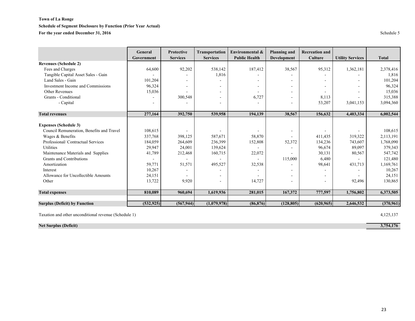#### **Schedule of Segment Disclosure by Function (Prior Year Actual)**

For the year ended December 31, 2016 Schedule 5

|                                           | General<br>Government | <b>Protective</b><br><b>Services</b> | <b>Transportation</b><br><b>Services</b> | Environmental &<br><b>Public Health</b> | <b>Planning and</b><br>Development | <b>Recreation and</b><br><b>Culture</b> | <b>Utility Services</b>  | <b>Total</b> |
|-------------------------------------------|-----------------------|--------------------------------------|------------------------------------------|-----------------------------------------|------------------------------------|-----------------------------------------|--------------------------|--------------|
| <b>Revenues (Schedule 2)</b>              |                       |                                      |                                          |                                         |                                    |                                         |                          |              |
| Fees and Charges                          | 64,600                | 92,202                               | 538,142                                  | 187,412                                 | 38,567                             | 95,312                                  | 1,362,181                | 2,378,416    |
| Tangible Capital Asset Sales - Gain       |                       |                                      | 1,816                                    |                                         |                                    |                                         |                          | 1,816        |
| Land Sales - Gain                         | 101,204               |                                      |                                          |                                         | $\sim$                             |                                         | $\sim$                   | 101,204      |
| Investment Income and Commissions         | 96,324                |                                      |                                          |                                         | $\overline{\phantom{a}}$           |                                         | $\overline{\phantom{0}}$ | 96,324       |
| Other Revenues                            | 15,036                |                                      |                                          |                                         |                                    |                                         |                          | 15,036       |
| Grants - Conditional                      |                       | 300,548                              |                                          | 6,727                                   | $\overline{\phantom{a}}$           | 8,113                                   |                          | 315,388      |
| - Capital                                 |                       |                                      |                                          |                                         |                                    | 53,207                                  | 3,041,153                | 3,094,360    |
| <b>Total revenues</b>                     | 277,164               | 392,750                              | 539,958                                  | 194,139                                 | 38,567                             | 156,632                                 | 4,403,334                | 6,002,544    |
| <b>Expenses (Schedule 3)</b>              |                       |                                      |                                          |                                         |                                    |                                         |                          |              |
| Council Remuneration, Benefits and Travel | 108.615               |                                      |                                          |                                         |                                    |                                         |                          | 108.615      |
| Wages & Benefits                          | 337,768               | 398,125                              | 587,671                                  | 58,870                                  |                                    | 411,435                                 | 319,322                  | 2,113,191    |
| Professional/Contractual Services         | 184,059               | 264,609                              | 236,399                                  | 152,808                                 | 52,372                             | 134,236                                 | 743,607                  | 1,768,090    |
| Utilities                                 | 29,947                | 24,001                               | 139,624                                  |                                         |                                    | 96,674                                  | 89,097                   | 379,343      |
| Maintenance Materials and Supplies        | 41,789                | 212,468                              | 160,715                                  | 22,072                                  |                                    | 30,131                                  | 80,567                   | 547,742      |
| Grants and Contributions                  |                       |                                      |                                          |                                         | 115,000                            | 6,480                                   |                          | 121,480      |
| Amortization                              | 59,771                | 51,571                               | 495,527                                  | 32,538                                  |                                    | 98,641                                  | 431,713                  | 1,169,761    |
| Interest                                  | 10,267                |                                      |                                          |                                         |                                    |                                         |                          | 10,267       |
| Allowance for Uncollectible Amounts       | 24,151                |                                      |                                          |                                         | $\sim$                             |                                         |                          | 24,151       |
| Other                                     | 13,722                | 9,920                                |                                          | 14,727                                  |                                    |                                         | 92,496                   | 130,865      |
| <b>Total expenses</b>                     | 810,089               | 960,694                              | 1,619,936                                | 281,015                                 | 167,372                            | 777,597                                 | 1,756,802                | 6,373,505    |
| <b>Surplus (Deficit) by Function</b>      | (532, 925)            | (567, 944)                           | (1,079,978)                              | (86, 876)                               | (128, 805)                         | (620, 965)                              | 2,646,532                | (370,961)    |

Taxation and other unconditional revenue (Schedule 1) 4,125,137

**Net Surplus (Deficit) 3,754,176**

23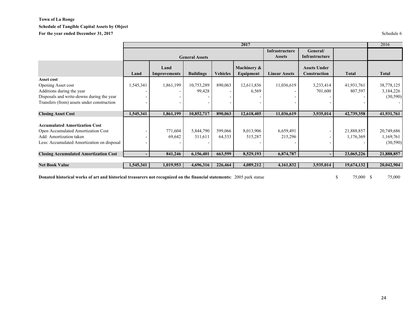#### **Schedule of Tangible Capital Assets by Object**

For the year ended December 31, 2017 Schedule 6

|                                              |                       |                      |                  |                 | 2017                            |                            |                                     |              | 2016         |
|----------------------------------------------|-----------------------|----------------------|------------------|-----------------|---------------------------------|----------------------------|-------------------------------------|--------------|--------------|
|                                              | <b>General Assets</b> |                      |                  |                 | Infrastructure<br><b>Assets</b> | General/<br>Infrastructure |                                     |              |              |
|                                              | Land                  | Land<br>Improvements | <b>Buildings</b> | <b>Vehicles</b> | Machinery &<br>Equipment        | <b>Linear Assets</b>       | <b>Assets Under</b><br>Construction | <b>Total</b> | <b>Total</b> |
| Asset cost                                   |                       |                      |                  |                 |                                 |                            |                                     |              |              |
| Opening Asset cost                           | 1,545,341             | 1,861,199            | 10,753,289       | 890,063         | 12,611,836                      | 11,036,619                 | 3,233,414                           | 41,931,761   | 38,778,125   |
| Additions during the year                    |                       |                      | 99,428           |                 | 6,569                           |                            | 701,600                             | 807,597      | 3,184,226    |
| Disposals and write-downs during the year    |                       |                      |                  |                 |                                 |                            |                                     |              | (30, 590)    |
| Transfers (from) assets under construction   |                       |                      |                  |                 |                                 |                            |                                     |              |              |
| <b>Closing Asset Cost</b>                    | 1,545,341             | 1,861,199            | 10,852,717       | 890.063         | 12,618,405                      | 11,036,619                 | 3,935,014                           | 42,739,358   | 41,931,761   |
| <b>Accumulated Amortization Cost</b>         |                       |                      |                  |                 |                                 |                            |                                     |              |              |
| Open Accumulated Amortization Cost           |                       | 771,604              | 5,844,790        | 599,066         | 8,013,906                       | 6,659,491                  |                                     | 21,888,857   | 20,749,686   |
| Add: Amortization taken                      |                       | 69,642               | 311,611          | 64,533          | 515,287                         | 215,296                    |                                     | 1,176,369    | 1,169,761    |
| Less: Accumulated Amortization on disposal   |                       |                      |                  |                 |                                 |                            |                                     |              | (30,590)     |
| <b>Closing Accumulated Amortization Cost</b> |                       | 841,246              | 6,156,401        | 663,599         | 8,529,193                       | 6,874,787                  |                                     | 23,065,226   | 21,888,857   |
| <b>Net Book Value</b>                        | 1,545,341             | 1,019,953            | 4,696,316        | 226,464         | 4,089,212                       | 4,161,832                  | 3,935,014                           | 19,674,132   | 20,042,904   |
|                                              |                       |                      |                  |                 |                                 |                            |                                     |              |              |

**Donated historical works of art and historical treasurers not recognized on the financial statements:** 2005 park statue 75,000 \$ 75,000 \$ 75,000 \$ 75,000 \$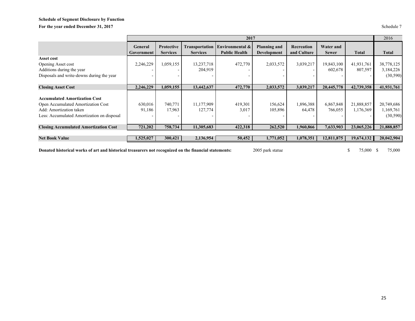# **Schedule of Segment Disclosure by Function** For the year ended December 31, 2017

| Schedule |  |
|----------|--|
|          |  |

|                                                                                                                                                     |                              |                               |                                          | 2017                                    |                                           |                           |                           |                         | 2016                                |
|-----------------------------------------------------------------------------------------------------------------------------------------------------|------------------------------|-------------------------------|------------------------------------------|-----------------------------------------|-------------------------------------------|---------------------------|---------------------------|-------------------------|-------------------------------------|
|                                                                                                                                                     | <b>General</b><br>Government | Protective<br><b>Services</b> | <b>Transportation</b><br><b>Services</b> | Environmental &<br><b>Public Health</b> | <b>Planning and</b><br><b>Development</b> | Recreation<br>and Culture | Water and<br><b>Sewer</b> | <b>Total</b>            | <b>Total</b>                        |
| Asset cost                                                                                                                                          |                              |                               |                                          |                                         |                                           |                           |                           |                         |                                     |
| Opening Asset cost                                                                                                                                  | 2,246,229                    | 1,059,155                     | 13,237,718                               | 472,770                                 | 2,033,572                                 | 3,039,217                 | 19,843,100                | 41,931,761              | 38,778,125                          |
| Additions during the year                                                                                                                           |                              |                               | 204,919                                  |                                         |                                           |                           | 602,678                   | 807,597                 | 3,184,226                           |
| Disposals and write-downs during the year                                                                                                           |                              |                               |                                          |                                         |                                           |                           |                           |                         | (30,590)                            |
|                                                                                                                                                     |                              |                               |                                          |                                         |                                           |                           |                           |                         |                                     |
| <b>Closing Asset Cost</b>                                                                                                                           | 2,246,229                    | 1,059,155                     | 13,442,637                               | 472,770                                 | 2,033,572                                 | 3,039,217                 | 20,445,778                | 42,739,358              | 41,931,761                          |
| <b>Accumulated Amortization Cost</b><br>Open Accumulated Amortization Cost<br>Add: Amortization taken<br>Less: Accumulated Amortization on disposal | 630,016<br>91,186            | 740,771<br>17,963             | 11,177,909<br>127,774                    | 419,301<br>3,017                        | 156,624<br>105,896                        | 1,896,388<br>64,478       | 6,867,848<br>766,055      | 21,888,857<br>1,176,369 | 20,749,686<br>1,169,761<br>(30,590) |
| <b>Closing Accumulated Amortization Cost</b>                                                                                                        | 721,202                      | 758,734                       | 11,305,683                               | 422,318                                 | 262,520                                   | 1,960,866                 | 7,633,903                 | 23,065,226              | 21,888,857                          |
|                                                                                                                                                     |                              |                               |                                          |                                         |                                           |                           |                           |                         |                                     |
| <b>Net Book Value</b>                                                                                                                               | 1,525,027                    | 300,421                       | 2,136,954                                | 50,452                                  | 1,771,052                                 | 1,078,351                 | 12,811,875                | 19,674,132              | 20,042,904                          |
|                                                                                                                                                     |                              |                               |                                          |                                         |                                           |                           |                           |                         |                                     |

**Donated historical works of art and historical treasurers not recognized on the financial statements:** 2005 park statue \$ 75,000 \$ 75,000 \$ 75,000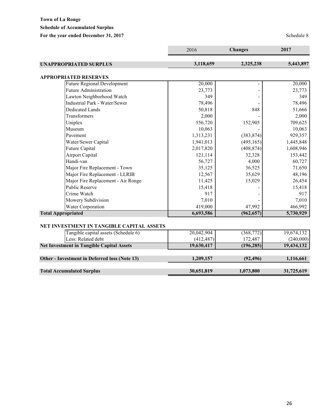# **Schedule of Accumulated Surplus**

For the year ended December 31, 2017 Schedule 8

|                                                  | 2016       | <b>Changes</b> | 2017       |
|--------------------------------------------------|------------|----------------|------------|
| <b>UNAPPROPRIATED SURPLUS</b>                    | 3,118,659  | 2,325,238      | 5,443,897  |
| <b>APPROPRIATED RESERVES</b>                     |            |                |            |
| <b>Future Regional Development</b>               | 20,000     |                | 20,000     |
| <b>Future Administration</b>                     | 23,773     |                | 23,773     |
| Lawton Neighborhood Watch                        | 349        |                | 349        |
| Industrial Park - Water/Sewer                    | 78,496     |                | 78,496     |
| <b>Dedicated Lands</b>                           | 50,818     | 848            | 51,666     |
| Transformers                                     | 2,000      |                | 2,000      |
| Uniplex                                          | 556,720    | 152,905        | 709,625    |
| Museum                                           | 10,063     |                | 10,063     |
| Pavement                                         | 1,313,231  | (383, 874)     | 929,357    |
| Water/Sewer Capital                              | 1,941,013  | (495, 165)     | 1,445,848  |
| Future Capital                                   | 2,017,820  | (408, 874)     | 1,608,946  |
| Airport Capital                                  | 121,114    | 32,328         | 153,442    |
| Handi-van                                        | 56,727     | 4,000          | 60,727     |
| Major Fire Replacement - Town                    | 35,125     | 36,525         | 71,650     |
| Major Fire Replacement - LLRIB                   | 12,567     | 35,629         | 48,196     |
| Major Fire Replacement - Air Ronge               | 11,425     | 15,029         | 26,454     |
| <b>Public Reserve</b>                            | 15,418     |                | 15,418     |
| Crime Watch                                      | 917        |                | 917        |
| Mowery Subdivision                               | 7,010      |                | 7,010      |
| Water Corporation                                | 419,000    | 47,992         | 466,992    |
| <b>Total Appropriated</b>                        | 6,693,586  | (962, 657)     | 5,730,929  |
| NET INVESTMENT IN TANGIBLE CAPITAL ASSETS        |            |                |            |
| Tangible capital assets (Schedule 6)             | 20,042,904 | (368, 772)     | 19,674,132 |
| Less: Related debt                               | (412, 487) | 172,487        | (240,000)  |
| <b>Net Investment in Tangible Capital Assets</b> | 19,630,417 | (196, 285)     | 19,434,132 |
| Other - Investment in Deferred loss (Note 13)    | 1,209,157  | (92, 496)      | 1,116,661  |
| <b>Total Accumulated Surplus</b>                 | 30,651,819 | 1,073,800      | 31,725,619 |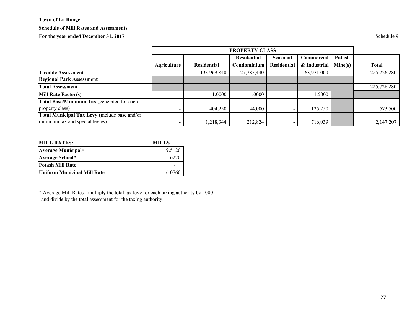#### **Schedule of Mill Rates and Assessments**

For the year ended December 31, 2017 Schedule 9

|                                               |             | <b>PROPERTY CLASS</b> |             |                    |              |         |              |
|-----------------------------------------------|-------------|-----------------------|-------------|--------------------|--------------|---------|--------------|
|                                               |             |                       | Residential | Seasonal           | Commercial   | Potash  |              |
|                                               | Agriculture | <b>Residential</b>    | Condominium | <b>Residential</b> | & Industrial | Mine(s) | <b>Total</b> |
| <b>Taxable Assessment</b>                     |             | 133,969,840           | 27,785,440  |                    | 63,971,000   |         | 225,726,280  |
| <b>Regional Park Assessment</b>               |             |                       |             |                    |              |         |              |
| <b>Total Assessment</b>                       |             |                       |             |                    |              |         | 225,726,280  |
| <b>Mill Rate Factor(s)</b>                    |             | .0000                 | 0000.1      |                    | 1.5000       |         |              |
| Total Base/Minimum Tax (generated for each    |             |                       |             |                    |              |         |              |
| property class)                               |             | 404,250               | 44.000      |                    | 125,250      |         | 573,500      |
| Total Municipal Tax Levy (include base and/or |             |                       |             |                    |              |         |              |
| minimum tax and special levies)               |             | 1,218,344             | 212,824     |                    | 716,039      |         | 2,147,207    |

| <b>MILL RATES:</b>          | MILLS  |  |  |
|-----------------------------|--------|--|--|
| <b>Average Municipal*</b>   | 9.5120 |  |  |
| Average School*             | 5.6270 |  |  |
| <b>Potash Mill Rate</b>     |        |  |  |
| Uniform Municipal Mill Rate | 6.0760 |  |  |

\* Average Mill Rates - multiply the total tax levy for each taxing authority by 1000 and divide by the total assessment for the taxing authority.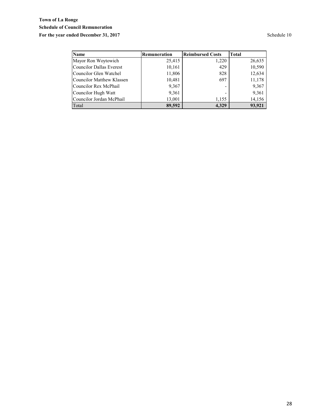# **Town of La Ronge Schedule of Council Remuneration** For the year ended December 31, 2017 Schedule 10

| <b>Name</b>                      | Remuneration | <b>Reimbursed Costs</b> | <b>Total</b> |
|----------------------------------|--------------|-------------------------|--------------|
| Mayor Ron Woytowich              | 25,415       | 1,220                   | 26,635       |
| <b>Councilor Dallas Everest</b>  | 10,161       | 429                     | 10,590       |
| Councilor Glen Watchel           | 11,806       | 828                     | 12,634       |
| <b>Councilor Matthew Klassen</b> | 10,481       | 697                     | 11,178       |
| Councilor Rex McPhail            | 9,367        |                         | 9,367        |
| Councilor Hugh Watt              | 9,361        |                         | 9,361        |
| Councilor Jordan McPhail         | 13,001       | 1,155                   | 14,156       |
| Total                            | 89,592       | 4.329                   | 93,921       |